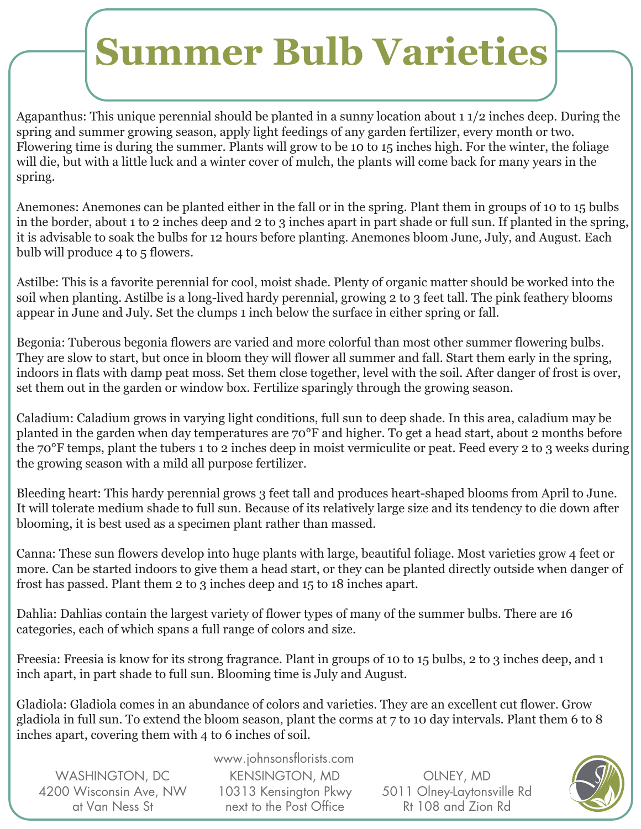## **Summer Bulb Varieties**

Agapanthus: This unique perennial should be planted in a sunny location about 1 1/2 inches deep. During the spring and summer growing season, apply light feedings of any garden fertilizer, every month or two. Flowering time is during the summer. Plants will grow to be 10 to 15 inches high. For the winter, the foliage will die, but with a little luck and a winter cover of mulch, the plants will come back for many years in the spring.

Anemones: Anemones can be planted either in the fall or in the spring. Plant them in groups of 10 to 15 bulbs in the border, about 1 to 2 inches deep and 2 to 3 inches apart in part shade or full sun. If planted in the spring, it is advisable to soak the bulbs for 12 hours before planting. Anemones bloom June, July, and August. Each bulb will produce 4 to 5 flowers.

Astilbe: This is a favorite perennial for cool, moist shade. Plenty of organic matter should be worked into the soil when planting. Astilbe is a long-lived hardy perennial, growing 2 to 3 feet tall. The pink feathery blooms appear in June and July. Set the clumps 1 inch below the surface in either spring or fall.

Begonia: Tuberous begonia flowers are varied and more colorful than most other summer flowering bulbs. They are slow to start, but once in bloom they will flower all summer and fall. Start them early in the spring, indoors in flats with damp peat moss. Set them close together, level with the soil. After danger of frost is over, set them out in the garden or window box. Fertilize sparingly through the growing season.

Caladium: Caladium grows in varying light conditions, full sun to deep shade. In this area, caladium may be planted in the garden when day temperatures are 70°F and higher. To get a head start, about 2 months before the 70°F temps, plant the tubers 1 to 2 inches deep in moist vermiculite or peat. Feed every 2 to 3 weeks during the growing season with a mild all purpose fertilizer.

Bleeding heart: This hardy perennial grows 3 feet tall and produces heart-shaped blooms from April to June. It will tolerate medium shade to full sun. Because of its relatively large size and its tendency to die down after blooming, it is best used as a specimen plant rather than massed.

Canna: These sun flowers develop into huge plants with large, beautiful foliage. Most varieties grow 4 feet or more. Can be started indoors to give them a head start, or they can be planted directly outside when danger of frost has passed. Plant them 2 to 3 inches deep and 15 to 18 inches apart.

Dahlia: Dahlias contain the largest variety of flower types of many of the summer bulbs. There are 16 categories, each of which spans a full range of colors and size.

Freesia: Freesia is know for its strong fragrance. Plant in groups of 10 to 15 bulbs, 2 to 3 inches deep, and 1 inch apart, in part shade to full sun. Blooming time is July and August.

Gladiola: Gladiola comes in an abundance of colors and varieties. They are an excellent cut flower. Grow gladiola in full sun. To extend the bloom season, plant the corms at 7 to 10 day intervals. Plant them 6 to 8 inches apart, covering them with 4 to 6 inches of soil.

| <b>WASHINGTON, DC</b>  |
|------------------------|
| 4200 Wisconsin Ave, NW |
| at Van Ness St         |

www.johnsonsflorists.com KENSINGTON, MD 10313 Kensington Pkwy next to the Post Office

OLNEY, MD 5011 Olney-Laytonsville Rd Rt 108 and Zion Rd